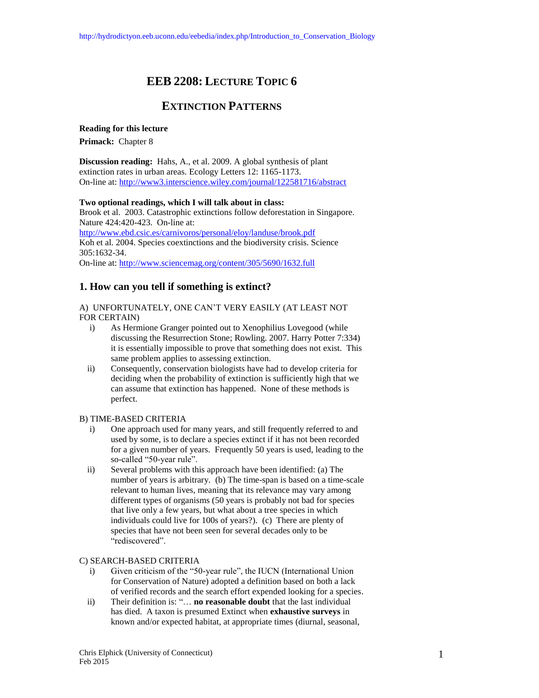# **EEB 2208: LECTURE TOPIC 6**

# **EXTINCTION PATTERNS**

**Reading for this lecture**

**Primack:** Chapter 8

**Discussion reading:** Hahs, A., et al. 2009. A global synthesis of plant extinction rates in urban areas. Ecology Letters 12: 1165-1173. On-line at:<http://www3.interscience.wiley.com/journal/122581716/abstract>

#### **Two optional readings, which I will talk about in class:**

Brook et al. 2003. Catastrophic extinctions follow deforestation in Singapore. Nature 424:420-423. On-line at: <http://www.ebd.csic.es/carnivoros/personal/eloy/landuse/brook.pdf> Koh et al. 2004. Species coextinctions and the biodiversity crisis. Science 305:1632-34. On-line at:<http://www.sciencemag.org/content/305/5690/1632.full>

# **1. How can you tell if something is extinct?**

A) UNFORTUNATELY, ONE CAN'T VERY EASILY (AT LEAST NOT FOR CERTAIN)

- i) As Hermione Granger pointed out to Xenophilius Lovegood (while discussing the Resurrection Stone; Rowling. 2007. Harry Potter 7:334) it is essentially impossible to prove that something does not exist. This same problem applies to assessing extinction.
- ii) Consequently, conservation biologists have had to develop criteria for deciding when the probability of extinction is sufficiently high that we can assume that extinction has happened. None of these methods is perfect.

#### B) TIME-BASED CRITERIA

- i) One approach used for many years, and still frequently referred to and used by some, is to declare a species extinct if it has not been recorded for a given number of years. Frequently 50 years is used, leading to the so-called "50-year rule".
- ii) Several problems with this approach have been identified: (a) The number of years is arbitrary. (b) The time-span is based on a time-scale relevant to human lives, meaning that its relevance may vary among different types of organisms (50 years is probably not bad for species that live only a few years, but what about a tree species in which individuals could live for 100s of years?). (c) There are plenty of species that have not been seen for several decades only to be "rediscovered".

#### C) SEARCH-BASED CRITERIA

- i) Given criticism of the "50-year rule", the IUCN (International Union for Conservation of Nature) adopted a definition based on both a lack of verified records and the search effort expended looking for a species.
- ii) Their definition is: "… **no reasonable doubt** that the last individual has died. A taxon is presumed Extinct when **exhaustive surveys** in known and/or expected habitat, at appropriate times (diurnal, seasonal,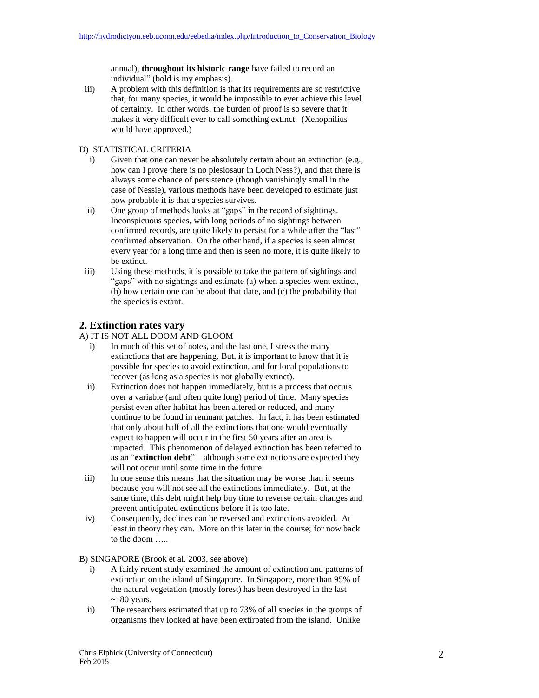annual), **throughout its historic range** have failed to record an individual" (bold is my emphasis).

iii) A problem with this definition is that its requirements are so restrictive that, for many species, it would be impossible to ever achieve this level of certainty. In other words, the burden of proof is so severe that it makes it very difficult ever to call something extinct. (Xenophilius would have approved.)

#### D) STATISTICAL CRITERIA

- i) Given that one can never be absolutely certain about an extinction (e.g., how can I prove there is no plesiosaur in Loch Ness?), and that there is always some chance of persistence (though vanishingly small in the case of Nessie), various methods have been developed to estimate just how probable it is that a species survives.
- ii) One group of methods looks at "gaps" in the record of sightings. Inconspicuous species, with long periods of no sightings between confirmed records, are quite likely to persist for a while after the "last" confirmed observation. On the other hand, if a species is seen almost every year for a long time and then is seen no more, it is quite likely to be extinct.
- iii) Using these methods, it is possible to take the pattern of sightings and "gaps" with no sightings and estimate (a) when a species went extinct, (b) how certain one can be about that date, and (c) the probability that the species is extant.

## **2. Extinction rates vary**

- A) IT IS NOT ALL DOOM AND GLOOM
	- i) In much of this set of notes, and the last one, I stress the many extinctions that are happening. But, it is important to know that it is possible for species to avoid extinction, and for local populations to recover (as long as a species is not globally extinct).
	- ii) Extinction does not happen immediately, but is a process that occurs over a variable (and often quite long) period of time. Many species persist even after habitat has been altered or reduced, and many continue to be found in remnant patches. In fact, it has been estimated that only about half of all the extinctions that one would eventually expect to happen will occur in the first 50 years after an area is impacted. This phenomenon of delayed extinction has been referred to as an "**extinction debt**" – although some extinctions are expected they will not occur until some time in the future.
- iii) In one sense this means that the situation may be worse than it seems because you will not see all the extinctions immediately. But, at the same time, this debt might help buy time to reverse certain changes and prevent anticipated extinctions before it is too late.
- iv) Consequently, declines can be reversed and extinctions avoided. At least in theory they can. More on this later in the course; for now back to the doom …..

B) SINGAPORE (Brook et al. 2003, see above)

- i) A fairly recent study examined the amount of extinction and patterns of extinction on the island of Singapore. In Singapore, more than 95% of the natural vegetation (mostly forest) has been destroyed in the last  $~180$  years.
- ii) The researchers estimated that up to 73% of all species in the groups of organisms they looked at have been extirpated from the island. Unlike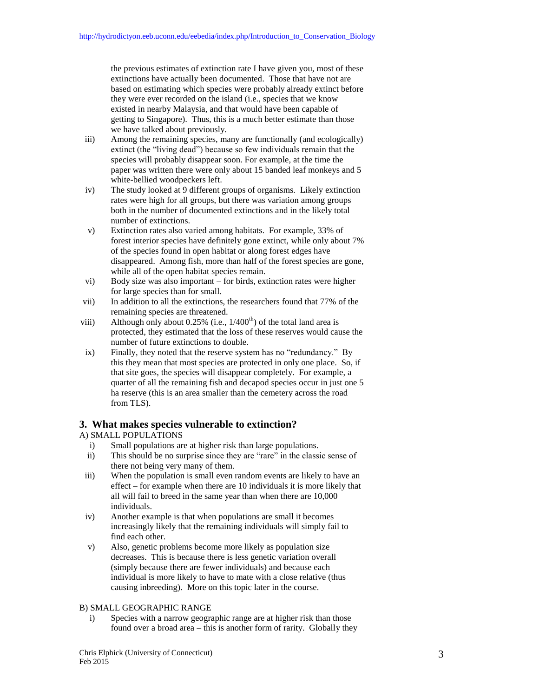the previous estimates of extinction rate I have given you, most of these extinctions have actually been documented. Those that have not are based on estimating which species were probably already extinct before they were ever recorded on the island (i.e., species that we know existed in nearby Malaysia, and that would have been capable of getting to Singapore). Thus, this is a much better estimate than those we have talked about previously.

- iii) Among the remaining species, many are functionally (and ecologically) extinct (the "living dead") because so few individuals remain that the species will probably disappear soon. For example, at the time the paper was written there were only about 15 banded leaf monkeys and 5 white-bellied woodpeckers left.
- iv) The study looked at 9 different groups of organisms. Likely extinction rates were high for all groups, but there was variation among groups both in the number of documented extinctions and in the likely total number of extinctions.
- v) Extinction rates also varied among habitats. For example, 33% of forest interior species have definitely gone extinct, while only about 7% of the species found in open habitat or along forest edges have disappeared. Among fish, more than half of the forest species are gone, while all of the open habitat species remain.
- vi) Body size was also important for birds, extinction rates were higher for large species than for small.
- vii) In addition to all the extinctions, the researchers found that 77% of the remaining species are threatened.
- viii) Although only about 0.25% (i.e.,  $1/400^{th}$ ) of the total land area is protected, they estimated that the loss of these reserves would cause the number of future extinctions to double.
- ix) Finally, they noted that the reserve system has no "redundancy." By this they mean that most species are protected in only one place. So, if that site goes, the species will disappear completely. For example, a quarter of all the remaining fish and decapod species occur in just one 5 ha reserve (this is an area smaller than the cemetery across the road from TLS).

# **3. What makes species vulnerable to extinction?**

## A) SMALL POPULATIONS

- i) Small populations are at higher risk than large populations.
- ii) This should be no surprise since they are "rare" in the classic sense of there not being very many of them.
- iii) When the population is small even random events are likely to have an effect – for example when there are 10 individuals it is more likely that all will fail to breed in the same year than when there are 10,000 individuals.
- iv) Another example is that when populations are small it becomes increasingly likely that the remaining individuals will simply fail to find each other.
- v) Also, genetic problems become more likely as population size decreases. This is because there is less genetic variation overall (simply because there are fewer individuals) and because each individual is more likely to have to mate with a close relative (thus causing inbreeding). More on this topic later in the course.

## B) SMALL GEOGRAPHIC RANGE

i) Species with a narrow geographic range are at higher risk than those found over a broad area – this is another form of rarity. Globally they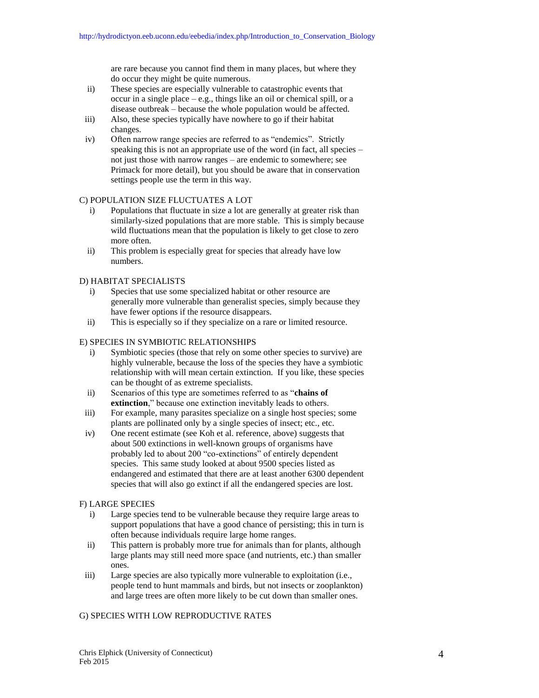are rare because you cannot find them in many places, but where they do occur they might be quite numerous.

- ii) These species are especially vulnerable to catastrophic events that occur in a single place – e.g., things like an oil or chemical spill, or a disease outbreak – because the whole population would be affected.
- iii) Also, these species typically have nowhere to go if their habitat changes.
- iv) Often narrow range species are referred to as "endemics". Strictly speaking this is not an appropriate use of the word (in fact, all species – not just those with narrow ranges – are endemic to somewhere; see Primack for more detail), but you should be aware that in conservation settings people use the term in this way.

#### C) POPULATION SIZE FLUCTUATES A LOT

- i) Populations that fluctuate in size a lot are generally at greater risk than similarly-sized populations that are more stable. This is simply because wild fluctuations mean that the population is likely to get close to zero more often.
- ii) This problem is especially great for species that already have low numbers.

## D) HABITAT SPECIALISTS

- i) Species that use some specialized habitat or other resource are generally more vulnerable than generalist species, simply because they have fewer options if the resource disappears.
- ii) This is especially so if they specialize on a rare or limited resource.

#### E) SPECIES IN SYMBIOTIC RELATIONSHIPS

- i) Symbiotic species (those that rely on some other species to survive) are highly vulnerable, because the loss of the species they have a symbiotic relationship with will mean certain extinction. If you like, these species can be thought of as extreme specialists.
- ii) Scenarios of this type are sometimes referred to as "**chains of extinction**," because one extinction inevitably leads to others.
- iii) For example, many parasites specialize on a single host species; some plants are pollinated only by a single species of insect; etc., etc.
- iv) One recent estimate (see Koh et al. reference, above) suggests that about 500 extinctions in well-known groups of organisms have probably led to about 200 "co-extinctions" of entirely dependent species. This same study looked at about 9500 species listed as endangered and estimated that there are at least another 6300 dependent species that will also go extinct if all the endangered species are lost.

#### F) LARGE SPECIES

- i) Large species tend to be vulnerable because they require large areas to support populations that have a good chance of persisting; this in turn is often because individuals require large home ranges.
- ii) This pattern is probably more true for animals than for plants, although large plants may still need more space (and nutrients, etc.) than smaller ones.
- iii) Large species are also typically more vulnerable to exploitation (i.e., people tend to hunt mammals and birds, but not insects or zooplankton) and large trees are often more likely to be cut down than smaller ones.

## G) SPECIES WITH LOW REPRODUCTIVE RATES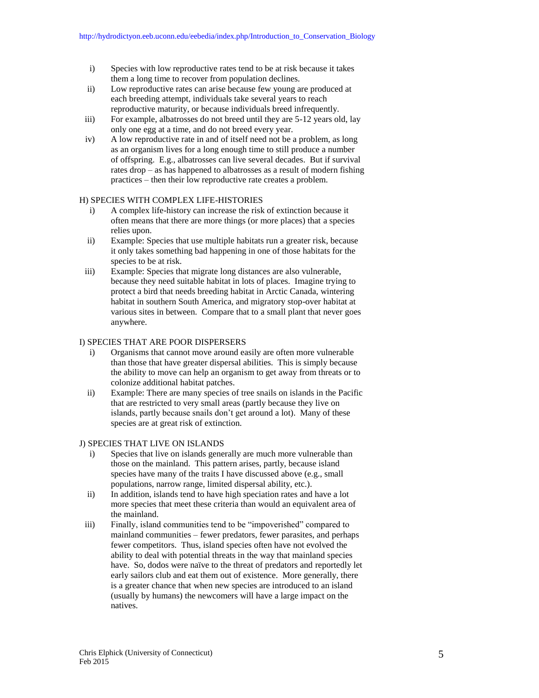- i) Species with low reproductive rates tend to be at risk because it takes them a long time to recover from population declines.
- ii) Low reproductive rates can arise because few young are produced at each breeding attempt, individuals take several years to reach reproductive maturity, or because individuals breed infrequently.
- iii) For example, albatrosses do not breed until they are 5-12 years old, lay only one egg at a time, and do not breed every year.
- iv) A low reproductive rate in and of itself need not be a problem, as long as an organism lives for a long enough time to still produce a number of offspring. E.g., albatrosses can live several decades. But if survival rates drop – as has happened to albatrosses as a result of modern fishing practices – then their low reproductive rate creates a problem.

#### H) SPECIES WITH COMPLEX LIFE-HISTORIES

- i) A complex life-history can increase the risk of extinction because it often means that there are more things (or more places) that a species relies upon.
- ii) Example: Species that use multiple habitats run a greater risk, because it only takes something bad happening in one of those habitats for the species to be at risk.
- iii) Example: Species that migrate long distances are also vulnerable, because they need suitable habitat in lots of places. Imagine trying to protect a bird that needs breeding habitat in Arctic Canada, wintering habitat in southern South America, and migratory stop-over habitat at various sites in between. Compare that to a small plant that never goes anywhere.

## I) SPECIES THAT ARE POOR DISPERSERS

- i) Organisms that cannot move around easily are often more vulnerable than those that have greater dispersal abilities. This is simply because the ability to move can help an organism to get away from threats or to colonize additional habitat patches.
- ii) Example: There are many species of tree snails on islands in the Pacific that are restricted to very small areas (partly because they live on islands, partly because snails don't get around a lot). Many of these species are at great risk of extinction.

#### J) SPECIES THAT LIVE ON ISLANDS

- i) Species that live on islands generally are much more vulnerable than those on the mainland. This pattern arises, partly, because island species have many of the traits I have discussed above (e.g., small populations, narrow range, limited dispersal ability, etc.).
- ii) In addition, islands tend to have high speciation rates and have a lot more species that meet these criteria than would an equivalent area of the mainland.
- iii) Finally, island communities tend to be "impoverished" compared to mainland communities – fewer predators, fewer parasites, and perhaps fewer competitors. Thus, island species often have not evolved the ability to deal with potential threats in the way that mainland species have. So, dodos were naïve to the threat of predators and reportedly let early sailors club and eat them out of existence. More generally, there is a greater chance that when new species are introduced to an island (usually by humans) the newcomers will have a large impact on the natives.